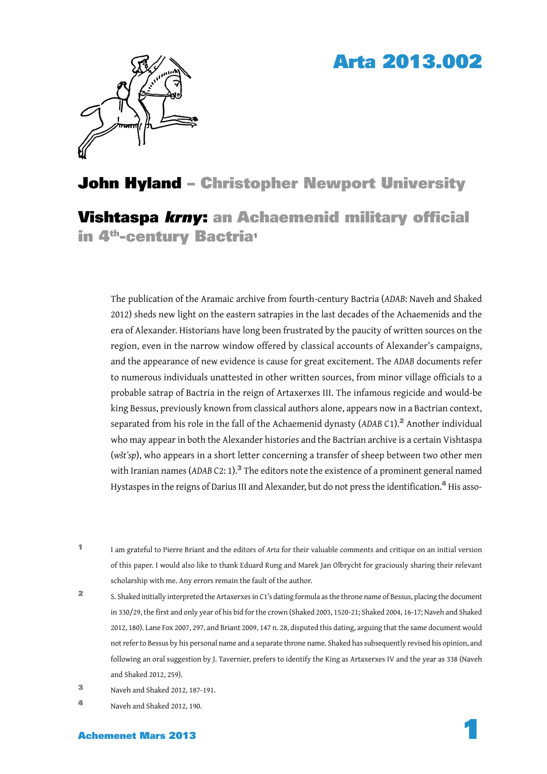## Arta 2013.002



### John Hyland – Christopher Newport University

Vishtaspa *krnv*: an Achaemenid military official in 4<sup>th</sup>-century Bactria<sup>1</sup>

The publication of the Aramaic archive from fourth-century Bactria (*ADAB*: Naveh and Shaked 2012) sheds new light on the eastern satrapies in the last decades of the Achaemenids and the era of Alexander. Historians have long been frustrated by the paucity of written sources on the region, even in the narrow window offered by classical accounts of Alexander's campaigns, and the appearance of new evidence is cause for great excitement. The *ADAB* documents refer to numerous individuals unattested in other written sources, from minor village officials to a probable satrap of Bactria in the reign of Artaxerxes III. The infamous regicide and would-be king Bessus, previously known from classical authors alone, appears now in a Bactrian context, separated from his role in the fall of the Achaemenid dynasty (ADAB C1).<sup>2</sup> Another individual who may appear in both the Alexander histories and the Bactrian archive is a certain Vishtaspa (*wšt'sp*), who appears in a short letter concerning a transfer of sheep between two other men with Iranian names (ADAB C2: 1).<sup>3</sup> The editors note the existence of a prominent general named Hystaspes in the reigns of Darius III and Alexander, but do not press the identification.<sup>4</sup> His asso-

- <sup>1</sup> I am grateful to Pierre Briant and the editors of *Arta* for their valuable comments and critique on an initial version of this paper. I would also like to thank Eduard Rung and Marek Jan Olbrycht for graciously sharing their relevant scholarship with me. Any errors remain the fault of the author.
- <sup>2</sup> S. Shaked initially interpreted the Artaxerxes in C1's dating formula as the throne name of Bessus, placing the document in 330/29, the first and only year of his bid for the crown (Shaked 2003, 1520-21; Shaked 2004, 16-17; Naveh and Shaked 2012, 180). Lane Fox 2007, 297, and Briant 2009, 147 n. 28, disputed this dating, arguing that the same document would not refer to Bessus by his personal name and a separate throne name. Shaked has subsequently revised his opinion, and following an oral suggestion by J. Tavernier, prefers to identify the King as Artaxerxes IV and the year as 338 (Naveh and Shaked 2012, 259).
- <sup>3</sup> Naveh and Shaked 2012, 187-191.
- <sup>4</sup> Naveh and Shaked 2012, 190.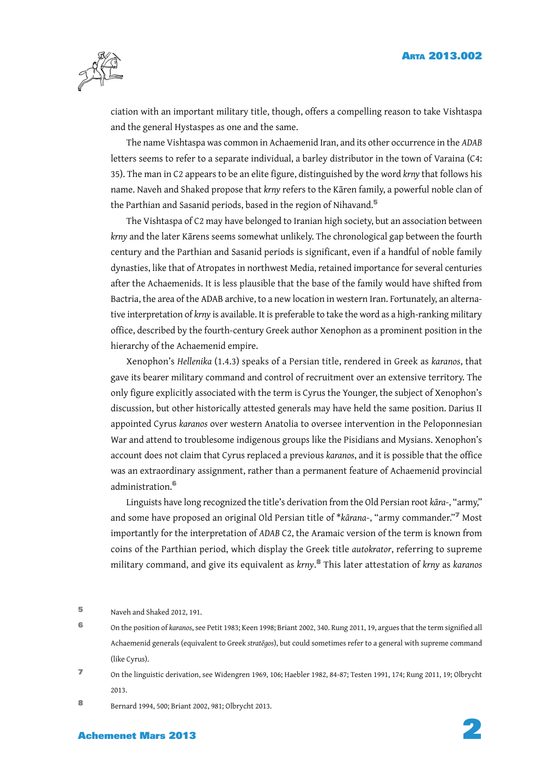

ciation with an important military title, though, offers a compelling reason to take Vishtaspa and the general Hystaspes as one and the same.

The name Vishtaspa was common in Achaemenid Iran, and its other occurrence in the *ADAB* letters seems to refer to a separate individual, a barley distributor in the town of Varaina (C4: 35). The man in C2 appears to be an elite figure, distinguished by the word *krny* that follows his name. Naveh and Shaked propose that *krny* refers to the Kāren family, a powerful noble clan of the Parthian and Sasanid periods, based in the region of Nihavand.<sup>5</sup>

The Vishtaspa of C2 may have belonged to Iranian high society, but an association between *krny* and the later Kārens seems somewhat unlikely. The chronological gap between the fourth century and the Parthian and Sasanid periods is significant, even if a handful of noble family dynasties, like that of Atropates in northwest Media, retained importance for several centuries after the Achaemenids. It is less plausible that the base of the family would have shifted from Bactria, the area of the ADAB archive, to a new location in western Iran. Fortunately, an alternative interpretation of *krny* is available. It is preferable to take the word as a high-ranking military office, described by the fourth-century Greek author Xenophon as a prominent position in the hierarchy of the Achaemenid empire.

Xenophon's *Hellenika* (1.4.3) speaks of a Persian title, rendered in Greek as *karanos*, that gave its bearer military command and control of recruitment over an extensive territory. The only figure explicitly associated with the term is Cyrus the Younger, the subject of Xenophon's discussion, but other historically attested generals may have held the same position. Darius II appointed Cyrus *karanos* over western Anatolia to oversee intervention in the Peloponnesian War and attend to troublesome indigenous groups like the Pisidians and Mysians. Xenophon's account does not claim that Cyrus replaced a previous *karanos*, and it is possible that the office was an extraordinary assignment, rather than a permanent feature of Achaemenid provincial administration.<sup>6</sup>

Linguists have long recognized the title's derivation from the Old Persian root *kāra*-, "army," and some have proposed an original Old Persian title of \**kārana*-, "army commander."<sup>7</sup> Most importantly for the interpretation of *ADAB* C2, the Aramaic version of the term is known from coins of the Parthian period, which display the Greek title *autokrator*, referring to supreme military command, and give its equivalent as *krny*. <sup>8</sup> This later attestation of *krny* as *karanos*

- 6 On the position of *karanos*, see Petit 1983; Keen 1998; Briant 2002, 340. Rung 2011, 19, argues that the term signified all Achaemenid generals (equivalent to Greek *stratēgos*), but could sometimes refer to a general with supreme command (like Cyrus).
- <sup>7</sup> On the linguistic derivation, see Widengren 1969, 106; Haebler 1982, 84-87; Testen 1991, 174; Rung 2011, 19; Olbrycht 2013.
- <sup>8</sup> Bernard 1994, 500; Briant 2002, 981; Olbrycht 2013.

# Achemenet Mars 2013 2

<sup>5</sup> Naveh and Shaked 2012, 191.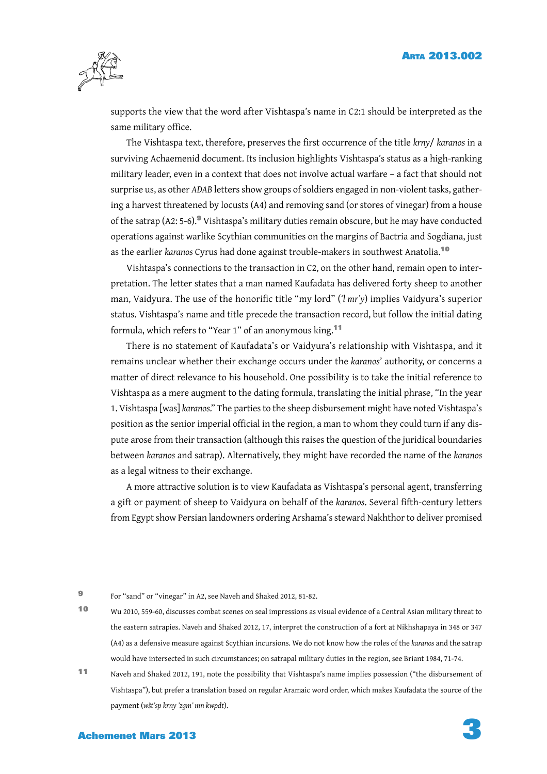

supports the view that the word after Vishtaspa's name in C2:1 should be interpreted as the same military office.

The Vishtaspa text, therefore, preserves the first occurrence of the title *krny*/ *karanos* in a surviving Achaemenid document. Its inclusion highlights Vishtaspa's status as a high-ranking military leader, even in a context that does not involve actual warfare – a fact that should not surprise us, as other *ADAB* letters show groups of soldiers engaged in non-violent tasks, gathering a harvest threatened by locusts (A4) and removing sand (or stores of vinegar) from a house of the satrap (A2: 5-6).<sup>9</sup> Vishtaspa's military duties remain obscure, but he may have conducted operations against warlike Scythian communities on the margins of Bactria and Sogdiana, just as the earlier *karanos* Cyrus had done against trouble-makers in southwest Anatolia.<sup>10</sup>

Vishtaspa's connections to the transaction in C2, on the other hand, remain open to interpretation. The letter states that a man named Kaufadata has delivered forty sheep to another man, Vaidyura. The use of the honorific title "my lord" ('l mr'y) implies Vaidyura's superior status. Vishtaspa's name and title precede the transaction record, but follow the initial dating formula, which refers to "Year 1" of an anonymous king.<sup>11</sup>

There is no statement of Kaufadata's or Vaidyura's relationship with Vishtaspa, and it remains unclear whether their exchange occurs under the *karanos*' authority, or concerns a matter of direct relevance to his household. One possibility is to take the initial reference to Vishtaspa as a mere augment to the dating formula, translating the initial phrase, "In the year 1. Vishtaspa [was] *karanos*." The parties to the sheep disbursement might have noted Vishtaspa's position as the senior imperial official in the region, a man to whom they could turn if any dispute arose from their transaction (although this raises the question of the juridical boundaries between *karanos* and satrap). Alternatively, they might have recorded the name of the *karanos* as a legal witness to their exchange.

A more attractive solution is to view Kaufadata as Vishtaspa's personal agent, transferring a gift or payment of sheep to Vaidyura on behalf of the *karanos*. Several fifth-century letters from Egypt show Persian landowners ordering Arshama's steward Nakhthor to deliver promised

<sup>9</sup> For "sand" or "vinegar" in A2, see Naveh and Shaked 2012, 81-82.

<sup>10</sup> Wu 2010, 559-60, discusses combat scenes on seal impressions as visual evidence of a Central Asian military threat to the eastern satrapies. Naveh and Shaked 2012, 17, interpret the construction of a fort at Nikhshapaya in 348 or 347 (A4) as a defensive measure against Scythian incursions. We do not know how the roles of the *karanos* and the satrap would have intersected in such circumstances; on satrapal military duties in the region, see Briant 1984, 71-74.

<sup>11</sup> Naveh and Shaked 2012, 191, note the possibility that Vishtaspa's name implies possession ("the disbursement of Vishtaspa"), but prefer a translation based on regular Aramaic word order, which makes Kaufadata the source of the payment (*wšt'sp krny 'zgm' mn kwpdt*).

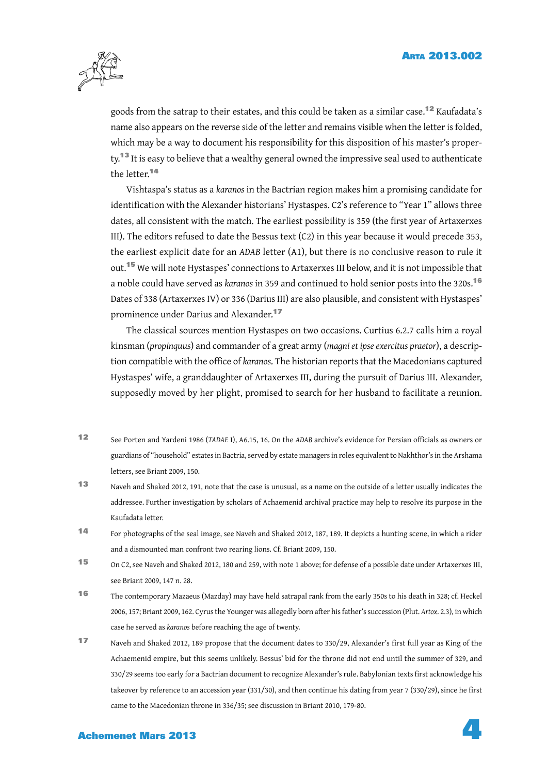

goods from the satrap to their estates, and this could be taken as a similar case.<sup>12</sup> Kaufadata's name also appears on the reverse side of the letter and remains visible when the letter is folded, which may be a way to document his responsibility for this disposition of his master's property.<sup>13</sup> It is easy to believe that a wealthy general owned the impressive seal used to authenticate the letter.<sup>14</sup>

Vishtaspa's status as a *karanos* in the Bactrian region makes him a promising candidate for identification with the Alexander historians' Hystaspes. C2's reference to "Year 1" allows three dates, all consistent with the match. The earliest possibility is 359 (the first year of Artaxerxes III). The editors refused to date the Bessus text (C2) in this year because it would precede 353, the earliest explicit date for an *ADAB* letter (A1), but there is no conclusive reason to rule it out.<sup>15</sup> We will note Hystaspes' connections to Artaxerxes III below, and it is not impossible that a noble could have served as *karanos* in 359 and continued to hold senior posts into the 320s.<sup>16</sup> Dates of 338 (Artaxerxes IV) or 336 (Darius III) are also plausible, and consistent with Hystaspes' prominence under Darius and Alexander.<sup>17</sup>

The classical sources mention Hystaspes on two occasions. Curtius 6.2.7 calls him a royal kinsman (*propinquus*) and commander of a great army (*magni et ipse exercitus praetor*), a description compatible with the office of *karanos*. The historian reports that the Macedonians captured Hystaspes' wife, a granddaughter of Artaxerxes III, during the pursuit of Darius III. Alexander, supposedly moved by her plight, promised to search for her husband to facilitate a reunion.

- 12 See Porten and Yardeni 1986 (*TADAEI*), A6.15, 16. On the *ADAB* archive's evidence for Persian officials as owners or guardians of "household" estates in Bactria, served by estate managers in roles equivalent to Nakhthor's in the Arshama letters, see Briant 2009, 150.
- 13 Naveh and Shaked 2012, 191, note that the case is unusual, as a name on the outside of a letter usually indicates the addressee. Further investigation by scholars of Achaemenid archival practice may help to resolve its purpose in the Kaufadata letter.
- <sup>14</sup> For photographs of the seal image, see Naveh and Shaked 2012, 187, 189. It depicts a hunting scene, in which a rider and a dismounted man confront two rearing lions. Cf. Briant 2009, 150.
- <sup>15</sup> On C2, see Naveh and Shaked 2012, 180 and 259, with note 1 above; for defense of a possible date under Artaxerxes III, see Briant 2009, 147 n. 28.
- <sup>16</sup> The contemporary Mazaeus (Mazday) may have held satrapal rank from the early 350s to his death in 328; cf. Heckel 2006, 157; Briant 2009, 162. Cyrus the Younger was allegedly born after his father's succession (Plut. *Artox*. 2.3), in which case he served as *karanos* before reaching the age of twenty.
- 17 Naveh and Shaked 2012, 189 propose that the document dates to 330/29, Alexander's first full year as King of the Achaemenid empire, but this seems unlikely. Bessus' bid for the throne did not end until the summer of 329, and 330/29 seems too early for a Bactrian document to recognize Alexander's rule. Babylonian texts first acknowledge his takeover by reference to an accession year (331/30), and then continue his dating from year 7 (330/29), since he first came to the Macedonian throne in 336/35; see discussion in Briant 2010, 179-80.

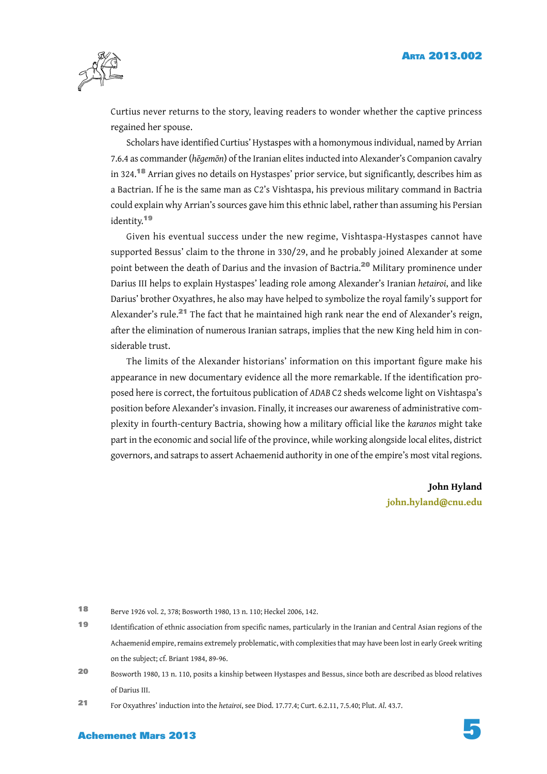

Curtius never returns to the story, leaving readers to wonder whether the captive princess regained her spouse.

Scholars have identified Curtius' Hystaspes with a homonymous individual, named by Arrian 7.6.4 as commander (*hēgemōn*) of the Iranian elites inducted into Alexander's Companion cavalry in 324.<sup>18</sup> Arrian gives no details on Hystaspes' prior service, but significantly, describes him as a Bactrian. If he is the same man as C2's Vishtaspa, his previous military command in Bactria could explain why Arrian's sources gave him this ethnic label, rather than assuming his Persian identity.<sup>19</sup>

Given his eventual success under the new regime, Vishtaspa-Hystaspes cannot have supported Bessus' claim to the throne in 330/29, and he probably joined Alexander at some point between the death of Darius and the invasion of Bactria.<sup>20</sup> Military prominence under Darius III helps to explain Hystaspes' leading role among Alexander's Iranian *hetairoi*, and like Darius' brother Oxyathres, he also may have helped to symbolize the royal family's support for Alexander's rule.<sup>21</sup> The fact that he maintained high rank near the end of Alexander's reign, after the elimination of numerous Iranian satraps, implies that the new King held him in considerable trust.

The limits of the Alexander historians' information on this important figure make his appearance in new documentary evidence all the more remarkable. If the identification proposed here is correct, the fortuitous publication of *ADAB* C2 sheds welcome light on Vishtaspa's position before Alexander's invasion. Finally, it increases our awareness of administrative complexity in fourth-century Bactria, showing how a military official like the *karanos* might take part in the economic and social life of the province, while working alongside local elites, district governors, and satraps to assert Achaemenid authority in one of the empire's most vital regions.

> **John Hyland john.hyland@cnu.edu**

<sup>18</sup> Berve 1926 vol. 2, 378; Bosworth 1980, 13 n. 110; Heckel 2006, 142.

<sup>19</sup> Identification of ethnic association from specific names, particularly in the Iranian and Central Asian regions of the Achaemenid empire, remains extremely problematic, with complexities that may have been lost in early Greek writing on the subject; cf. Briant 1984, 89-96.

<sup>20</sup> Bosworth 1980, 13 n. 110, posits a kinship between Hystaspes and Bessus, since both are described as blood relatives of Darius III.

<sup>21</sup> For Oxyathres' induction into the *hetairoi*, see Diod. 17.77.4; Curt. 6.2.11, 7.5.40; Plut. *Al*. 43.7.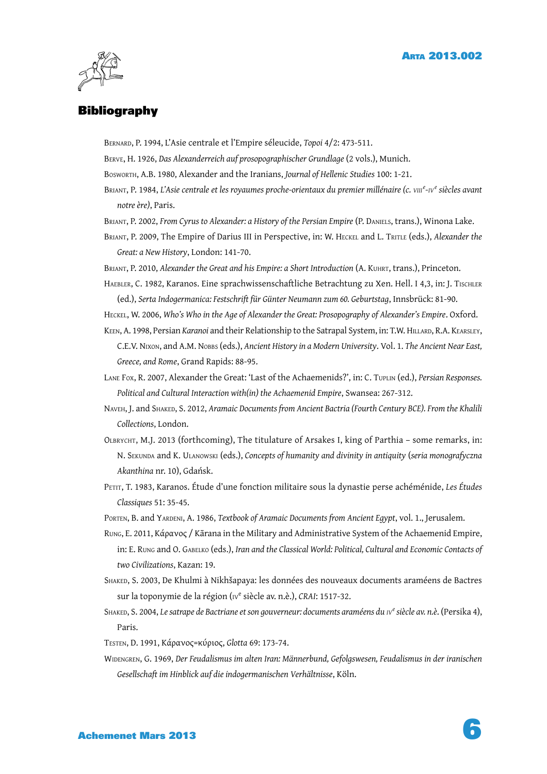

#### **Bibliography**

BERNARD, P. 1994, L'Asie centrale et l'Empire séleucide, *Topoi* 4/2: 473-511.

- BERVE, H. 1926, *Das Alexanderreich auf prosopographischer Grundlage* (2 vols.), Munich.
- BOSWORTH, A.B. 1980, Alexander and the Iranians, *Journal of Hellenic Studies* 100: 1-21.
- BRIANT, P. 1984, *L'Asie centrale et les royaumes proche-orientaux du premier millénaire (c. VIII<sup>e</sup> -IV<sup>e</sup> siècles avant notre ère)*, Paris.
- BRIANT, P. 2002, *From Cyrus to Alexander: a History of the Persian Empire* (P. DANIELS, trans.), Winona Lake.
- BRIANT, P. 2009, The Empire of Darius III in Perspective, in: W. HECKEL and L. TRITLE (eds.), *Alexander the Great: a New History*, London: 141-70.
- BRIANT, P. 2010, *Alexander the Great and his Empire: a Short Introduction* (A. KUHRT, trans.), Princeton.
- HAEBLER, C. 1982, Karanos. Eine sprachwissenschaftliche Betrachtung zu Xen. Hell. I 4,3, in: J. Tischler (ed.), *Serta Indogermanica: Festschrift für Günter Neumann zum 60. Geburtstag*, Innsbrück: 81-90.
- HECKEL, W. 2006, *Who's Who in the Age of Alexander the Great: Prosopography of Alexander's Empire*. Oxford.
- KEEN, A. 1998, Persian *Karanoi* and their Relationship to the Satrapal System, in: T.W. HILLARD, R.A. KEARSLEY, C.E.V. NIXON, and A.M. NOBBS (eds.), *Ancient History in a Modern University*. Vol. 1. *The Ancient Near East, Greece, and Rome*, Grand Rapids: 88-95.
- LANE FOX, R. 2007, Alexander the Great: 'Last of the Achaemenids?', in: C. TUPLIN (ed.), *Persian Responses. Political and Cultural Interaction with(in) the Achaemenid Empire*, Swansea: 267-312.
- NAVEH, J. and SHAKED, S. 2012, *Aramaic Documents from Ancient Bactria (Fourth Century BCE). From the Khalili Collections*, London.
- OLBRYCHT, M.J. 2013 (forthcoming), The titulature of Arsakes I, king of Parthia some remarks, in: N. SEKUNDA and K. ULANOWSKI (eds.), *Concepts of humanity and divinity in antiquity* (*seria monografyczna Akanthina* nr. 10), Gdańsk.
- PETIT, T. 1983, Karanos. Étude d'une fonction militaire sous la dynastie perse achéménide, *Les Études Classiques* 51: 35-45.
- PORTEN, B. and YARDENI, A. 1986, *Textbook of Aramaic Documents from Ancient Egypt*, vol. 1., Jerusalem.
- RUNG, E. 2011, Κάρανος / Kārana in the Military and Administrative System of the Achaemenid Empire, in: E. RUNG and O. GABELKO (eds.), *Iran and the Classical World: Political, Cultural and Economic Contacts of two Civilizations*, Kazan: 19.
- SHAKED, S. 2003, De Khulmi à Nikhšapaya: les données des nouveaux documents araméens de Bactres sur la toponymie de la région (<sub>IV</sub><sup>e</sup> siècle av. n.è.), CRAI: 1517-32.
- SHAKED, S. 2004, *Le satrape de Bactriane et son gouverneur: documents araméens du IV<sup>e</sup> siècle av. n.è*. (Persika 4), Paris.
- TESTEN, D. 1991, Κάρανος=κύριος, *Glotta* 69: 173-74.
- WIDENGREN, G. 1969, *Der Feudalismus im alten Iran: Männerbund, Gefolgswesen, Feudalismus in der iranischen Gesellschaft im Hinblick auf die indogermanischen Verhältnisse*, Köln.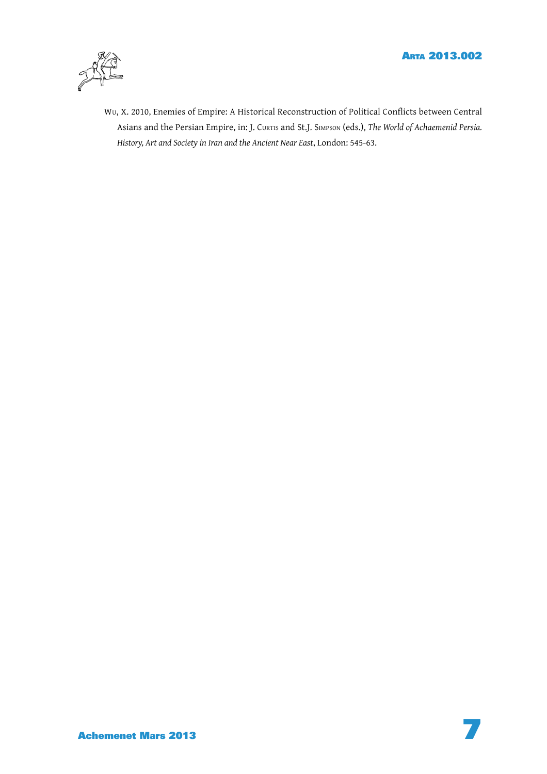

Wu, X. 2010, Enemies of Empire: A Historical Reconstruction of Political Conflicts between Central Asians and the Persian Empire, in: J. CURTIS and St.J. SIMPSON (eds.), *The World of Achaemenid Persia. History, Art and Society in Iran and the Ancient Near East*, London: 545-63.